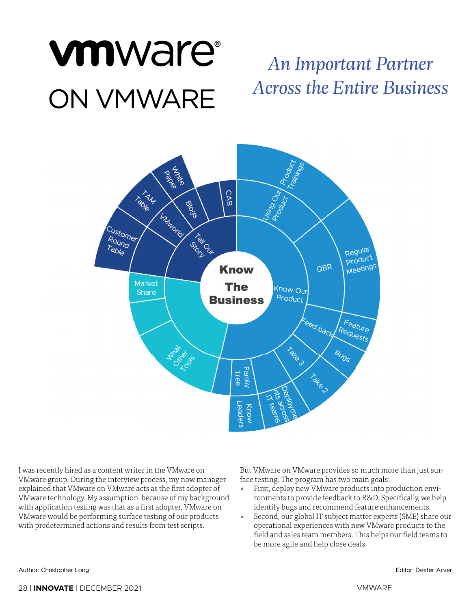# vmware® **ON VMWARE**

## *An Important Partner Across the Entire Business*



I was recently hired as a content writer in the VMware on VMware group. During the interview process, my now manager explained that VMware on VMware acts as the first adopter of VMware technology. My assumption, because of my background with application testing was that as a first adopter, VMware on VMware would be performing surface testing of our products with predetermined actions and results from test scripts.

But VMware on VMware provides so much more than just surface testing. The program has two main goals:

- First, deploy new VMware products into production environments to provide feedback to R&D. Specifically, we help identify bugs and recommend feature enhancements.
- Second, our global IT subject matter experts (SME) share our operational experiences with new VMware products to the field and sales team members. This helps our field teams to be more agile and help close deals.